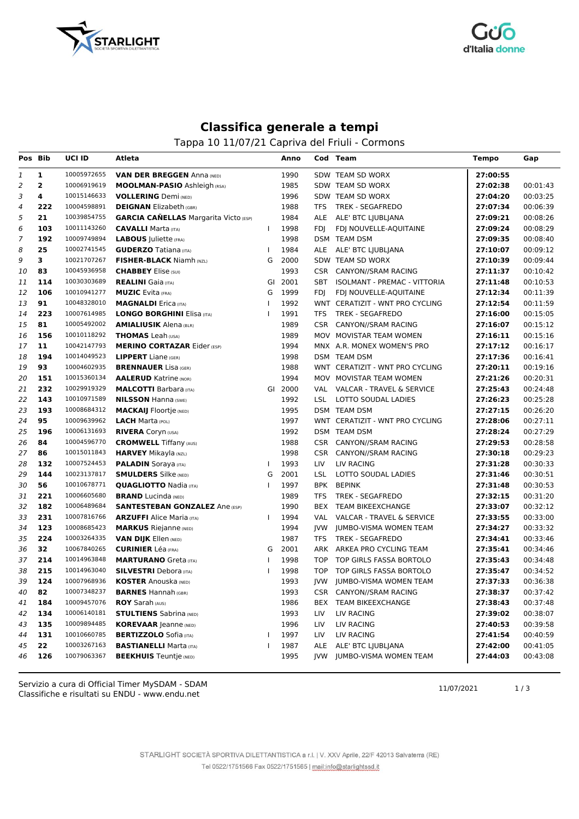



## **Classifica generale a tempi**

Tappa 10 11/07/21 Capriva del Friuli - Cormons

| Pos Bib |              | UCI ID      | Atleta                                       |              | Anno    |            | Cod Team                            | Tempo    | Gap      |
|---------|--------------|-------------|----------------------------------------------|--------------|---------|------------|-------------------------------------|----------|----------|
| 1       | 1            | 10005972655 | <b>VAN DER BREGGEN Anna (NED)</b>            |              | 1990    |            | SDW TEAM SD WORX                    | 27:00:55 |          |
| 2       | $\mathbf{2}$ | 10006919619 | <b>MOOLMAN-PASIO</b> Ashleigh (RSA)          |              | 1985    |            | SDW TEAM SD WORX                    | 27:02:38 | 00:01:43 |
| З       | 4            | 10015146633 | <b>VOLLERING</b> Demi (NED)                  |              | 1996    |            | SDW TEAM SD WORX                    | 27:04:20 | 00:03:25 |
| 4       | 222          | 10004598891 | <b>DEIGNAN</b> Elizabeth (GBR)               |              | 1988    | TFS        | <b>TREK - SEGAFREDO</b>             | 27:07:34 | 00:06:39 |
| 5       | 21           | 10039854755 | <b>GARCIA CAÑELLAS</b> Margarita Victo (ESP) |              | 1984    |            | ALE ALE' BTC LJUBLJANA              | 27:09:21 | 00:08:26 |
| 6       | 103          | 10011143260 | <b>CAVALLI</b> Marta (ITA)                   | $\mathbf{I}$ | 1998    | FDI        | FDJ NOUVELLE-AQUITAINE              | 27:09:24 | 00:08:29 |
| 7       | 192          | 10009749894 | <b>LABOUS</b> Juliette (FRA)                 |              | 1998    |            | DSM TEAM DSM                        | 27:09:35 | 00:08:40 |
| 8       | 25           | 10002741545 | <b>GUDERZO</b> Tatiana (ITA)                 | ı            | 1984    |            | ALE ALE' BTC LJUBLJANA              | 27:10:07 | 00:09:12 |
| 9       | 3            | 10021707267 | <b>FISHER-BLACK Niamh (NZL)</b>              | G            | 2000    |            | SDW TEAM SD WORX                    | 27:10:39 | 00:09:44 |
| 10      | 83           | 10045936958 | <b>CHABBEY</b> Elise (SUI)                   |              | 1993    | CSR        | CANYON//SRAM RACING                 | 27:11:37 | 00:10:42 |
| 11      | 114          | 10030303689 | <b>REALINI</b> Gaia (ITA)                    | GI           | 2001    | SBT        | <b>ISOLMANT - PREMAC - VITTORIA</b> | 27:11:48 | 00:10:53 |
| 12      | 106          | 10010941277 | <b>MUZIC</b> Evita (FRA)                     | G            | 1999    | <b>FDI</b> | FDJ NOUVELLE-AQUITAINE              | 27:12:34 | 00:11:39 |
| 13      | 91           | 10048328010 | <b>MAGNALDI</b> Erica (ITA)                  | $\mathbf{I}$ | 1992    |            | WNT CERATIZIT - WNT PRO CYCLING     | 27:12:54 | 00:11:59 |
| 14      | 223          | 10007614985 | <b>LONGO BORGHINI Elisa (ITA)</b>            |              | 1991    | TFS        | <b>TREK - SEGAFREDO</b>             | 27:16:00 | 00:15:05 |
| 15      | 81           | 10005492002 | <b>AMIALIUSIK Alena (BLR)</b>                |              | 1989    |            | CSR CANYON//SRAM RACING             | 27:16:07 | 00:15:12 |
| 16      | 156          | 10010118292 | <b>THOMAS</b> Leah (USA)                     |              | 1989    |            | MOV MOVISTAR TEAM WOMEN             | 27:16:11 | 00:15:16 |
| 17      | 11           | 10042147793 | <b>MERINO CORTAZAR Eider (ESP)</b>           |              | 1994    |            | MNX A.R. MONEX WOMEN'S PRO          | 27:17:12 | 00:16:17 |
| 18      | 194          | 10014049523 | <b>LIPPERT</b> Liane (GER)                   |              | 1998    |            | DSM TEAM DSM                        | 27:17:36 | 00:16:41 |
| 19      | 93           | 10004602935 | <b>BRENNAUER</b> Lisa (GER)                  |              | 1988    |            | WNT CERATIZIT - WNT PRO CYCLING     | 27:20:11 | 00:19:16 |
| 20      | 151          | 10015360134 | <b>AALERUD</b> Katrine (NOR)                 |              | 1994    |            | MOV MOVISTAR TEAM WOMEN             | 27:21:26 | 00:20:31 |
| 21      | 232          | 10029919329 | <b>MALCOTTI Barbara</b> (ITA)                |              | GI 2000 |            | VAL VALCAR - TRAVEL & SERVICE       | 27:25:43 | 00:24:48 |
| 22      | 143          | 10010971589 | <b>NILSSON Hanna (SWE)</b>                   |              | 1992    | LSL        | LOTTO SOUDAL LADIES                 | 27:26:23 | 00:25:28 |
| 23      | 193          | 10008684312 | <b>MACKAIJ</b> Floortje (NED)                |              | 1995    |            | DSM TEAM DSM                        | 27:27:15 | 00:26:20 |
| 24      | 95           | 10009639962 | <b>LACH</b> Marta (POL)                      |              | 1997    |            | WNT CERATIZIT - WNT PRO CYCLING     | 27:28:06 | 00:27:11 |
| 25      | 196          | 10006131693 | <b>RIVERA</b> Coryn (USA)                    |              | 1992    |            | DSM TEAM DSM                        | 27:28:24 | 00:27:29 |
| 26      | 84           | 10004596770 | <b>CROMWELL Tiffany (AUS)</b>                |              | 1988    | <b>CSR</b> | CANYON//SRAM RACING                 | 27:29:53 | 00:28:58 |
| 27      | 86           | 10015011843 | <b>HARVEY</b> Mikayla (NZL)                  |              | 1998    | <b>CSR</b> | CANYON//SRAM RACING                 | 27:30:18 | 00:29:23 |
| 28      | 132          | 10007524453 | <b>PALADIN</b> Soraya (ITA)                  | $\mathbf{I}$ | 1993    | LIV        | LIV RACING                          | 27:31:28 | 00:30:33 |
| 29      | 144          | 10023137817 | <b>SMULDERS</b> Silke (NED)                  | G            | 2001    | LSL        | LOTTO SOUDAL LADIES                 | 27:31:46 | 00:30:51 |
| 30      | 56           | 10010678771 | <b>QUAGLIOTTO Nadia (ITA)</b>                |              | 1997    | <b>BPK</b> | <b>BEPINK</b>                       | 27:31:48 | 00:30:53 |
| 31      | 221          | 10006605680 | <b>BRAND</b> Lucinda (NED)                   |              | 1989    | TFS        | <b>TREK - SEGAFREDO</b>             | 27:32:15 | 00:31:20 |
| 32      | 182          | 10006489684 | <b>SANTESTEBAN GONZALEZ Ane (ESP)</b>        |              | 1990    | BEX        | <b>TEAM BIKEEXCHANGE</b>            | 27:33:07 | 00:32:12 |
| 33      | 231          | 10007816766 | <b>ARZUFFI</b> Alice Maria (ITA)             | ı            | 1994    | VAL        | VALCAR - TRAVEL & SERVICE           | 27:33:55 | 00:33:00 |
| 34      | 123          | 10008685423 | <b>MARKUS</b> Riejanne (NED)                 |              | 1994    | JVW        | JUMBO-VISMA WOMEN TEAM              | 27:34:27 | 00:33:32 |
| 35      | 224          | 10003264335 | <b>VAN DIJK Ellen (NED)</b>                  |              | 1987    | TFS        | <b>TREK - SEGAFREDO</b>             | 27:34:41 | 00:33:46 |
| 36      | 32           | 10067840265 | <b>CURINIER Léa (FRA)</b>                    | G            | 2001    |            | ARK ARKEA PRO CYCLING TEAM          | 27:35:41 | 00:34:46 |
| 37      | 214          | 10014963848 | <b>MARTURANO</b> Greta (ITA)                 | $\mathbf{I}$ | 1998    | <b>TOP</b> | TOP GIRLS FASSA BORTOLO             | 27:35:43 | 00:34:48 |
| 38      | 215          | 10014963040 | <b>SILVESTRI</b> Debora (ITA)                | ı            | 1998    | TOP        | TOP GIRLS FASSA BORTOLO             | 27:35:47 | 00:34:52 |
| 39      | 124          | 10007968936 | <b>KOSTER Anouska (NED)</b>                  |              | 1993    |            | JVW JUMBO-VISMA WOMEN TEAM          | 27:37:33 | 00:36:38 |
| 40      | 82           | 10007348237 | <b>BARNES</b> Hannah (GBR)                   |              | 1993    | CSR        | CANYON//SRAM RACING                 | 27:38:37 | 00:37:42 |
| 41      | 184          | 10009457076 | <b>ROY</b> Sarah (AUS)                       |              | 1986    | BEX        | TEAM BIKEEXCHANGE                   | 27:38:43 | 00:37:48 |
| 42      | 134          | 10006140181 | <b>STULTIENS</b> Sabrina (NED)               |              | 1993    | LIV        | LIV RACING                          | 27:39:02 | 00:38:07 |
| 43      | 135          | 10009894485 | <b>KOREVAAR (eanne (NED)</b>                 |              | 1996    | LIV        | LIV RACING                          | 27:40:53 | 00:39:58 |
| 44      | 131          | 10010660785 | <b>BERTIZZOLO</b> Sofia (ITA)                |              | 1997    | LIV        | LIV RACING                          | 27:41:54 | 00:40:59 |
| 45      | 22           | 10003267163 | <b>BASTIANELLI Marta (ITA)</b>               | 1            | 1987    |            | ALE ALE' BTC LIUBLIANA              | 27:42:00 | 00:41:05 |
| 46      | 126          | 10079063367 | <b>BEEKHUIS</b> Teuntje (NED)                |              | 1995    |            | JVW JUMBO-VISMA WOMEN TEAM          | 27:44:03 | 00:43:08 |

Classifiche e risultati su ENDU - www.endu.net Servizio a cura di Official Timer MySDAM - SDAM 11/07/2021 1/3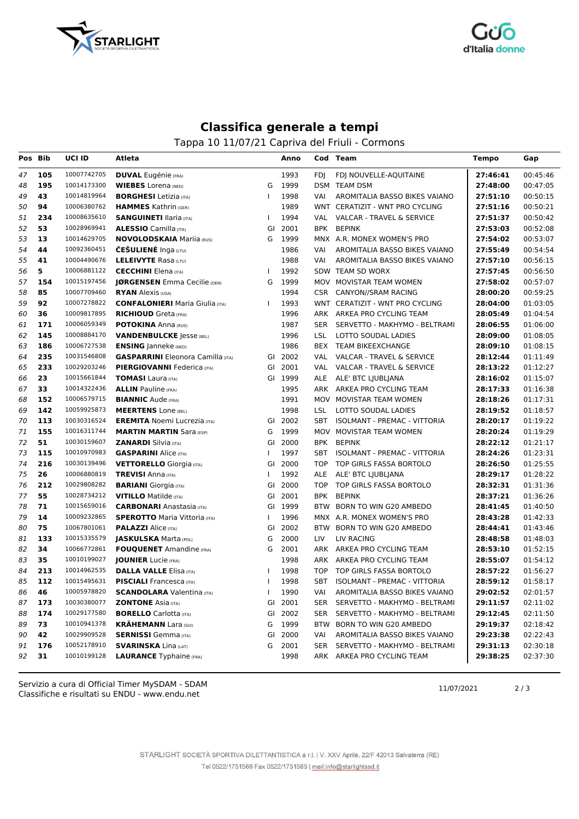



## **Classifica generale a tempi**

Tappa 10 11/07/21 Capriva del Friuli - Cormons

| Pos Bib |     | UCI ID                     | Atleta                                   |              | Anno    |            | Cod Team                            | <b>Tempo</b> | Gap      |
|---------|-----|----------------------------|------------------------------------------|--------------|---------|------------|-------------------------------------|--------------|----------|
| 47      | 105 | 10007742705                | <b>DUVAL</b> Eugénie (FRA)               |              | 1993    | <b>FDI</b> | FDJ NOUVELLE-AQUITAINE              | 27:46:41     | 00:45:46 |
| 48      | 195 | 10014173300                | <b>WIEBES</b> Lorena (NED)               | G            | 1999    |            | DSM TEAM DSM                        | 27:48:00     | 00:47:05 |
| 49      | 43  | 10014819964                | <b>BORGHESI</b> Letizia (ITA)            | $\mathbf{I}$ | 1998    | VAI        | AROMITALIA BASSO BIKES VAIANO       | 27:51:10     | 00:50:15 |
| 50      | 94  | 10006380762                | <b>HAMMES</b> Kathrin (GER)              |              | 1989    |            | WNT CERATIZIT - WNT PRO CYCLING     | 27:51:16     | 00:50:21 |
| 51      | 234 | 10008635610                | <b>SANGUINETI Ilaria</b> (ITA)           | T            | 1994    |            | VAL VALCAR - TRAVEL & SERVICE       | 27:51:37     | 00:50:42 |
| 52      | 53  | 10028969941                | <b>ALESSIO</b> Camilla (ITA)             |              | GI 2001 |            | BPK BEPINK                          | 27:53:03     | 00:52:08 |
| 53      | 13  | 10014629705                | <b>NOVOLODSKAIA Mariia (RUS)</b>         | G            | 1999    |            | MNX A.R. MONEX WOMEN'S PRO          | 27:54:02     | 00:53:07 |
| 54      | 44  | 10092360451                | <b>CESULIENE</b> Inga (LTU)              |              | 1986    | VAI        | AROMITALIA BASSO BIKES VAIANO       | 27:55:49     | 00:54:54 |
| 55      | 41  | 10004490676                | <b>LELEIVYTE Rasa (LTU)</b>              |              | 1988    | VAI        | AROMITALIA BASSO BIKES VAIANO       | 27:57:10     | 00:56:15 |
| 56      | 5   | 10006881122                | <b>CECCHINI</b> Elena (ITA)              | $\mathbf{I}$ | 1992    |            | SDW TEAM SD WORX                    | 27:57:45     | 00:56:50 |
| 57      | 154 | 10015197456                | JØRGENSEN Emma Cecilie (DEN)             | G            | 1999    |            | MOV MOVISTAR TEAM WOMEN             | 27:58:02     | 00:57:07 |
| 58      | 85  | 10007709460                | <b>RYAN</b> Alexis (USA)                 |              | 1994    |            | CSR CANYON//SRAM RACING             | 28:00:20     | 00:59:25 |
| 59      | 92  | 10007278822                | <b>CONFALONIERI</b> Maria Giulia (ITA)   | ı            | 1993    |            | WNT CERATIZIT - WNT PRO CYCLING     | 28:04:00     | 01:03:05 |
| 60      | 36  | 10009817895                | <b>RICHIOUD</b> Greta (FRA)              |              | 1996    |            | ARK ARKEA PRO CYCLING TEAM          | 28:05:49     | 01:04:54 |
| 61      | 171 | 10006059349                | <b>POTOKINA Anna (RUS)</b>               |              | 1987    | SER        | SERVETTO - MAKHYMO - BELTRAMI       | 28:06:55     | 01:06:00 |
| 62      | 145 | 10008884170                | <b>VANDENBULCKE</b> Jesse (BEL)          |              | 1996    | LSL        | LOTTO SOUDAL LADIES                 | 28:09:00     | 01:08:05 |
| 63      | 186 | 10006727538                | <b>ENSING</b> Janneke (NED)              |              | 1986    |            | BEX TEAM BIKEEXCHANGE               | 28:09:10     | 01:08:15 |
| 64      | 235 | 10031546808                | <b>GASPARRINI</b> Eleonora Camilla (ITA) |              | GI 2002 | VAL        | VALCAR - TRAVEL & SERVICE           | 28:12:44     | 01:11:49 |
| 65      | 233 | 10029203246                | <b>PIERGIOVANNI Federica</b> (ITA)       |              | GI 2001 |            | VAL VALCAR - TRAVEL & SERVICE       | 28:13:22     | 01:12:27 |
| 66      | 23  | 10015661844                | <b>TOMASI</b> Laura (ITA)                |              | GI 1999 |            | ALE ALE' BTC LJUBLJANA              | 28:16:02     | 01:15:07 |
| 67      | 33  | 10014322436                | <b>ALLIN</b> Pauline (FRA)               |              | 1995    |            | ARK ARKEA PRO CYCLING TEAM          | 28:17:33     | 01:16:38 |
| 68      | 152 | 10006579715                | <b>BIANNIC Aude (FRA)</b>                |              | 1991    |            | MOV MOVISTAR TEAM WOMEN             | 28:18:26     | 01:17:31 |
| 69      | 142 | 10059925873                | <b>MEERTENS</b> Lone (BEL)               |              | 1998    | LSL        | LOTTO SOUDAL LADIES                 | 28:19:52     | 01:18:57 |
| 70      | 113 | 10030316524                | <b>EREMITA</b> Noemi Lucrezia (ITA)      |              | GI 2002 | SBT        | <b>ISOLMANT - PREMAC - VITTORIA</b> | 28:20:17     | 01:19:22 |
| 71      | 155 | 10016311744                | <b>MARTIN MARTIN Sara (ESP)</b>          | G            | 1999    |            | MOV MOVISTAR TEAM WOMEN             | 28:20:24     | 01:19:29 |
| 72      | 51  | 10030159607                | <b>ZANARDI</b> Silvia (ITA)              |              | GI 2000 |            | BPK BEPINK                          | 28:22:12     | 01:21:17 |
| 73      | 115 | 10010970983                | <b>GASPARINI</b> Alice (ITA)             |              | 1997    | SBT        | ISOLMANT - PREMAC - VITTORIA        | 28:24:26     | 01:23:31 |
| 74      | 216 | 10030139496                | <b>VETTORELLO</b> Giorgia (ITA)          | GI           | 2000    | <b>TOP</b> | TOP GIRLS FASSA BORTOLO             | 28:26:50     | 01:25:55 |
| 75      | 26  | 10006880819                | <b>TREVISI</b> Anna (ITA)                | ı            | 1992    | ALE        | ALE' BTC LJUBLJANA                  | 28:29:17     | 01:28:22 |
| 76      | 212 | 10029808282                | <b>BARIANI</b> Giorgia (ITA)             |              | GI 2000 | <b>TOP</b> | TOP GIRLS FASSA BORTOLO             | 28:32:31     | 01:31:36 |
| 77      | 55  | 10028734212                | <b>VITILLO</b> Matilde (ITA)             | GI           | 2001    | <b>BPK</b> | <b>BEPINK</b>                       | 28:37:21     | 01:36:26 |
| 78      | 71  | 10015659016                | <b>CARBONARI</b> Anastasia (ITA)         |              | GI 1999 |            | BTW BORN TO WIN G20 AMBEDO          | 28:41:45     | 01:40:50 |
| 79      | 14  | 10009232865                | <b>SPEROTTO</b> Maria Vittoria (ITA)     | 1            | 1996    |            | MNX A.R. MONEX WOMEN'S PRO          | 28:43:28     | 01:42:33 |
| 80      | 75  | 10067801061                | <b>PALAZZI</b> Alice (ITA)               | GI           | 2002    |            | BTW BORN TO WIN G20 AMBEDO          | 28:44:41     | 01:43:46 |
| 81      | 133 | 10015335579                | <b>JASKULSKA Marta (POL)</b>             | G            | 2000    | LIV        | LIV RACING                          | 28:48:58     | 01:48:03 |
| 82      | 34  | 10066772861                | <b>FOUQUENET</b> Amandine (FRA)          | G            | 2001    |            | ARK ARKEA PRO CYCLING TEAM          | 28:53:10     | 01:52:15 |
| 83      | 35  | 10010199027                | <b>JOUNIER</b> Lucie (FRA)               |              | 1998    | ARK        | ARKEA PRO CYCLING TEAM              | 28:55:07     | 01:54:12 |
| 84      | 213 | 10014962535                | <b>DALLA VALLE Elisa (ITA)</b>           |              | 1998    | TOP.       | TOP GIRLS FASSA BORTOLO             | 28:57:22     | 01:56:27 |
| 85      | 112 | 10015495631                | <b>PISCIALI</b> Francesca (ITA)          |              | 1998    |            | SBT ISOLMANT - PREMAC - VITTORIA    | 28:59:12     | 01:58:17 |
| 86      | 46  | 10005978820                | <b>SCANDOLARA</b> Valentina (ITA)        |              | 1990    | VAI        | AROMITALIA BASSO BIKES VAIANO       | 29:02:52     | 02:01:57 |
| 87      | 173 | 10030380077                | <b>ZONTONE</b> Asia (ITA)                |              | GI 2001 |            | SER SERVETTO - MAKHYMO - BELTRAMI   | 29:11:57     | 02:11:02 |
| 88      | 174 | 10029177580<br>10010941378 | <b>BORELLO</b> Carlotta (ITA)            |              | GI 2002 | SER        | SERVETTO - MAKHYMO - BELTRAMI       | 29:12:45     | 02:11:50 |
| 89      | 73  | 10029909528                | <b>KRAHEMANN Lara (SUI)</b>              | G            | 1999    | BTW        | BORN TO WIN G20 AMBEDO              | 29:19:37     | 02:18:42 |
| 90      | 42  |                            | <b>SERNISSI</b> Gemma (ITA)              |              | GI 2000 | VAI        | AROMITALIA BASSO BIKES VAIANO       | 29:23:38     | 02:22:43 |
| 91      | 176 | 10052178910                | <b>SVARINSKA Lina (LAT)</b>              | G            | 2001    | SER        | SERVETTO - MAKHYMO - BELTRAMI       | 29:31:13     | 02:30:18 |
| 92      | 31  | 10010199128                | <b>LAURANCE</b> Typhaine (FRA)           |              | 1998    |            | ARK ARKEA PRO CYCLING TEAM          | 29:38:25     | 02:37:30 |

Classifiche e risultati su ENDU - www.endu.net Servizio a cura di Official Timer MySDAM - SDAM 11/07/2021 2/3

STARLIGHT SOCIETÀ SPORTIVA DILETTANTISTICA a r.l. | V. XXV Aprile, 22/F 42013 Salvaterra (RE) Tel 0522/1751566 Fax 0522/1751565 | mail:info@starlightssd.it